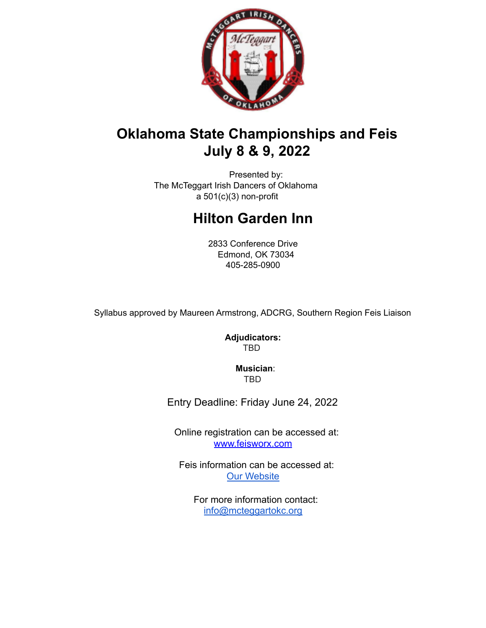

## **Oklahoma State Championships and Feis July 8 & 9, 2022**

Presented by: The McTeggart Irish Dancers of Oklahoma  $a$  501(c)(3) non-profit

# **Hilton Garden Inn**

2833 Conference Drive Edmond, OK 73034 405-285-0900

Syllabus approved by Maureen Armstrong, ADCRG, Southern Region Feis Liaison

**Adjudicators:** TBD

> **Musician**: TBD

Entry Deadline: Friday June 24, 2022

Online registration can be accessed at: www.feisworx.com

Feis information can be accessed at: Our Website

For more information contact: info@mcteggartokc.org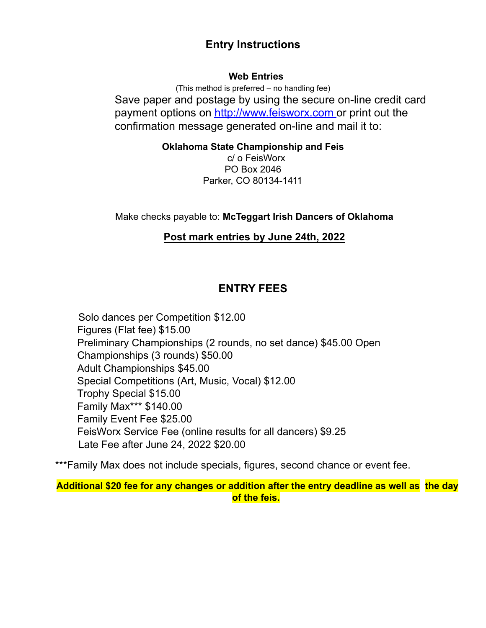### **Entry Instructions**

### **Web Entries**

(This method is preferred – no handling fee) Save paper and postage by using the secure on-line credit card payment options on http://www.feisworx.com or print out the confirmation message generated on-line and mail it to:

**Oklahoma State Championship and Feis**

c/ o FeisWorx PO Box 2046 Parker, CO 80134-1411

Make checks payable to: **McTeggart Irish Dancers of Oklahoma**

### **Post mark entries by June 24th, 2022**

### **ENTRY FEES**

Solo dances per Competition \$12.00 Figures (Flat fee) \$15.00 Preliminary Championships (2 rounds, no set dance) \$45.00 Open Championships (3 rounds) \$50.00 Adult Championships \$45.00 Special Competitions (Art, Music, Vocal) \$12.00 Trophy Special \$15.00 Family Max\*\*\* \$140.00 Family Event Fee \$25.00 FeisWorx Service Fee (online results for all dancers) \$9.25 Late Fee after June 24, 2022 \$20.00

\*\*\*Family Max does not include specials, figures, second chance or event fee.

**Additional \$20 fee for any changes or addition after the entry deadline as well as the day of the feis.**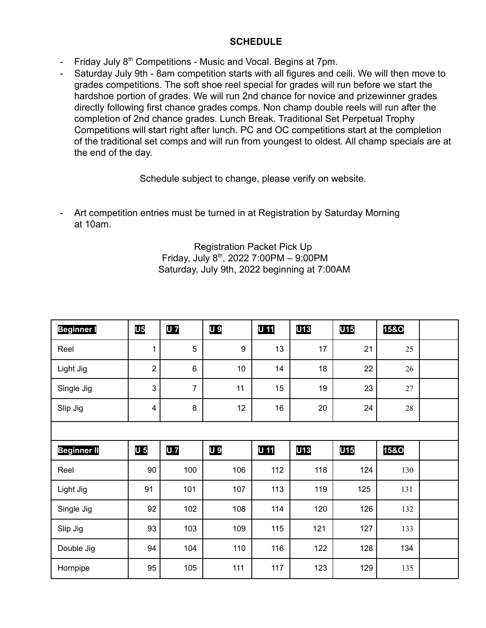### **SCHEDULE**

- Friday July 8<sup>th</sup> Competitions Music and Vocal. Begins at 7pm.
- Saturday July 9th 8am competition starts with all figures and ceili. We will then move to grades competitions. The soft shoe reel special for grades will run before we start the hardshoe portion of grades. We will run 2nd chance for novice and prizewinner grades directly following first chance grades comps. Non champ double reels will run after the completion of 2nd chance grades. Lunch Break. Traditional Set Perpetual Trophy Competitions will start right after lunch. PC and OC competitions start at the completion of the traditional set comps and will run from youngest to oldest. All champ specials are at the end of the day.

Schedule subject to change, please verify on website.

- Art competition entries must be turned in at Registration by Saturday Morning at 10am.

#### Registration Packet Pick Up Friday, July 8th, 2022 7:00PM – 9:00PM Saturday, July 9th, 2022 beginning at 7:00AM

| <b>Beginner I</b>  | <b>U5</b>      | <b>U</b> 7     | U 9 | U 11 | U13        | <b>U15</b> | <b>15&amp;O</b> |  |
|--------------------|----------------|----------------|-----|------|------------|------------|-----------------|--|
| Reel               | 1              | 5              | 9   | 13   | 17         | 21         | 25              |  |
| Light Jig          | $\sqrt{2}$     | $\,6$          | 10  | 14   | 18         | 22         | 26              |  |
| Single Jig         | 3              | $\overline{7}$ | 11  | 15   | 19         | 23         | 27              |  |
| Slip Jig           | $\overline{4}$ | $\bf 8$        | 12  | 16   | 20         | 24         | $28\,$          |  |
|                    |                |                |     |      |            |            |                 |  |
| <b>Beginner II</b> | U <sub>5</sub> | <b>U</b> 7     | U 9 | U 11 | <b>U13</b> | <b>U15</b> | <b>15&amp;O</b> |  |
| Reel               | 90             | 100            | 106 | 112  | 118        | 124        | 130             |  |
| Light Jig          | 91             | 101            | 107 | 113  | 119        | 125        | 131             |  |
| Single Jig         | 92             | 102            | 108 | 114  | 120        | 126        | 132             |  |
| Slip Jig           | 93             | 103            | 109 | 115  | 121        | 127        | 133             |  |
| Double Jig         | 94             | 104            | 110 | 116  | 122        | 128        | 134             |  |
| Hornpipe           | 95             | 105            | 111 | 117  | 123        | 129        | 135             |  |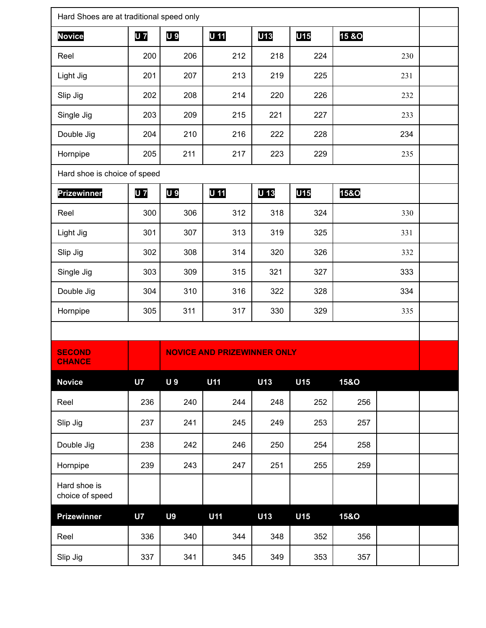| Hard Shoes are at traditional speed only |            |                |                                    |            |     |                  |     |  |
|------------------------------------------|------------|----------------|------------------------------------|------------|-----|------------------|-----|--|
| <b>Novice</b>                            | <b>U</b> 7 | U 9            | U 11                               | <b>U13</b> | U15 | <b>15 &amp;O</b> |     |  |
| Reel                                     | 200        | 206            | 212                                | 218        | 224 |                  | 230 |  |
| Light Jig                                | 201        | 207            | 213                                | 219        | 225 |                  | 231 |  |
| Slip Jig                                 | 202        | 208            | 214                                | 220        | 226 |                  | 232 |  |
| Single Jig                               | 203        | 209            | 215                                | 221        | 227 |                  | 233 |  |
| Double Jig                               | 204        | 210            | 216                                | 222        | 228 |                  | 234 |  |
| Hornpipe                                 | 205        | 211            | 217                                | 223        | 229 |                  | 235 |  |
| Hard shoe is choice of speed             |            |                |                                    |            |     |                  |     |  |
| <b>Prizewinner</b>                       | <b>U</b> 7 | U 9            | U 11                               | U 13       | U15 | <b>15&amp;O</b>  |     |  |
| Reel                                     | 300        | 306            | 312                                | 318        | 324 |                  | 330 |  |
| Light Jig                                | 301        | 307            | 313                                | 319        | 325 |                  | 331 |  |
| Slip Jig                                 | 302        | 308            | 314                                | 320        | 326 |                  | 332 |  |
| Single Jig                               | 303        | 309            | 315                                | 321        | 327 |                  | 333 |  |
| Double Jig                               | 304        | 310            | 316                                | 322        | 328 |                  | 334 |  |
| Hornpipe                                 | 305        | 311            | 317                                | 330        | 329 |                  | 335 |  |
|                                          |            |                |                                    |            |     |                  |     |  |
| <b>SECOND</b><br><b>CHANCE</b>           |            |                | <b>NOVICE AND PRIZEWINNER ONLY</b> |            |     |                  |     |  |
| <b>Novice</b>                            | <b>U7</b>  | <b>U9</b>      | U11                                | U13        | U15 | <b>15&amp;O</b>  |     |  |
| Reel                                     | 236        | 240            | 244                                | 248        | 252 | 256              |     |  |
| Slip Jig                                 | 237        | 241            | 245                                | 249        | 253 | 257              |     |  |
| Double Jig                               | 238        | 242            | 246                                | 250        | 254 | 258              |     |  |
| Hornpipe                                 | 239        | 243            | 247                                | 251        | 255 | 259              |     |  |
| Hard shoe is<br>choice of speed          |            |                |                                    |            |     |                  |     |  |
| <b>Prizewinner</b>                       | <b>U7</b>  | U <sub>9</sub> | <b>U11</b>                         | U13        | U15 | <b>15&amp;O</b>  |     |  |
| Reel                                     | 336        | 340            | 344                                | 348        | 352 | 356              |     |  |
| Slip Jig                                 | 337        | 341            | 345                                | 349        | 353 | 357              |     |  |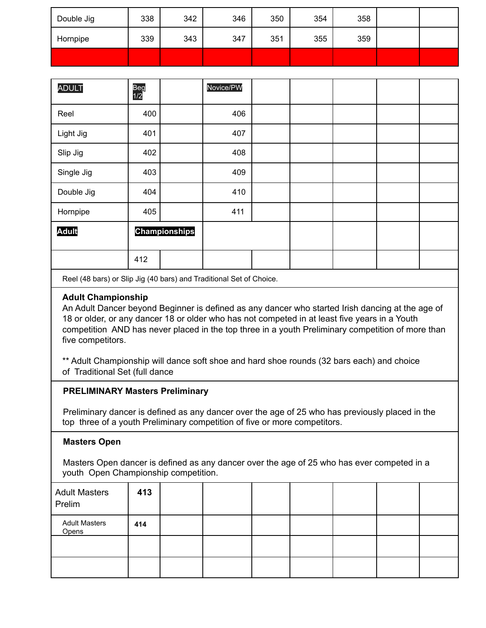| Double Jig | 338 | 342 | 346 | 350 | 354 | 358 |  |
|------------|-----|-----|-----|-----|-----|-----|--|
| Hornpipe   | 339 | 343 | 347 | 351 | 355 | 359 |  |
|            |     |     |     |     |     |     |  |

| <b>ADULT</b> | Beg<br>1/2           |  | Novice/PW |  |  |  |
|--------------|----------------------|--|-----------|--|--|--|
| Reel         | 400                  |  | 406       |  |  |  |
| Light Jig    | 401                  |  | 407       |  |  |  |
| Slip Jig     | 402                  |  | 408       |  |  |  |
| Single Jig   | 403                  |  | 409       |  |  |  |
| Double Jig   | 404                  |  | 410       |  |  |  |
| Hornpipe     | 405                  |  | 411       |  |  |  |
| <b>Adult</b> | <b>Championships</b> |  |           |  |  |  |
|              | 412                  |  |           |  |  |  |

Reel (48 bars) or Slip Jig (40 bars) and Traditional Set of Choice.

#### **Adult Championship**

An Adult Dancer beyond Beginner is defined as any dancer who started Irish dancing at the age of 18 or older, or any dancer 18 or older who has not competed in at least five years in a Youth competition AND has never placed in the top three in a youth Preliminary competition of more than five competitors.

\*\* Adult Championship will dance soft shoe and hard shoe rounds (32 bars each) and choice of Traditional Set (full dance

#### **PRELIMINARY Masters Preliminary**

Preliminary dancer is defined as any dancer over the age of 25 who has previously placed in the top three of a youth Preliminary competition of five or more competitors.

#### **Masters Open**

Masters Open dancer is defined as any dancer over the age of 25 who has ever competed in a youth Open Championship competition.

| <b>Adult Masters</b><br>Prelim | 413 |  |  |  |  |
|--------------------------------|-----|--|--|--|--|
| <b>Adult Masters</b><br>Opens  | 414 |  |  |  |  |
|                                |     |  |  |  |  |
|                                |     |  |  |  |  |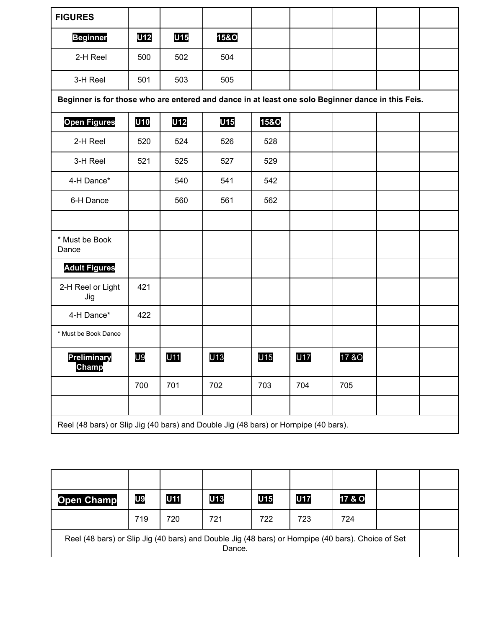| <b>FIGURES</b>                                                                                    |                |     |                 |                 |            |       |  |  |  |
|---------------------------------------------------------------------------------------------------|----------------|-----|-----------------|-----------------|------------|-------|--|--|--|
| <b>Beginner</b>                                                                                   | U12            | U15 | <b>15&amp;O</b> |                 |            |       |  |  |  |
| 2-H Reel                                                                                          | 500            | 502 | 504             |                 |            |       |  |  |  |
| 3-H Reel                                                                                          | 501            | 503 | 505             |                 |            |       |  |  |  |
| Beginner is for those who are entered and dance in at least one solo Beginner dance in this Feis. |                |     |                 |                 |            |       |  |  |  |
| <b>Open Figures</b>                                                                               | U10            | U12 | U15             | <b>15&amp;O</b> |            |       |  |  |  |
| 2-H Reel                                                                                          | 520            | 524 | 526             | 528             |            |       |  |  |  |
| 3-H Reel                                                                                          | 521            | 525 | 527             | 529             |            |       |  |  |  |
| 4-H Dance*                                                                                        |                | 540 | 541             | 542             |            |       |  |  |  |
| 6-H Dance                                                                                         |                | 560 | 561             | 562             |            |       |  |  |  |
|                                                                                                   |                |     |                 |                 |            |       |  |  |  |
| * Must be Book<br>Dance                                                                           |                |     |                 |                 |            |       |  |  |  |
| <b>Adult Figures</b>                                                                              |                |     |                 |                 |            |       |  |  |  |
| 2-H Reel or Light<br>Jig                                                                          | 421            |     |                 |                 |            |       |  |  |  |
| 4-H Dance*                                                                                        | 422            |     |                 |                 |            |       |  |  |  |
| * Must be Book Dance                                                                              |                |     |                 |                 |            |       |  |  |  |
| <b>Preliminary</b><br>Champ                                                                       | U <sub>9</sub> | U11 | U <sub>13</sub> | U <sub>15</sub> | <b>U17</b> | 17 &O |  |  |  |
|                                                                                                   | 700            | 701 | 702             | 703             | 704        | 705   |  |  |  |
|                                                                                                   |                |     |                 |                 |            |       |  |  |  |
| Reel (48 bars) or Slip Jig (40 bars) and Double Jig (48 bars) or Hornpipe (40 bars).              |                |     |                 |                 |            |       |  |  |  |

| <b>Open Champ</b>                                                                                  | U9  | U11 | <b>U13</b> | U15 | <b>U17</b> | 17 & O |  |
|----------------------------------------------------------------------------------------------------|-----|-----|------------|-----|------------|--------|--|
|                                                                                                    | 719 | 720 | 721        | 722 | 723        | 724    |  |
| Reel (48 bars) or Slip Jig (40 bars) and Double Jig (48 bars) or Hornpipe (40 bars). Choice of Set |     |     | Dance.     |     |            |        |  |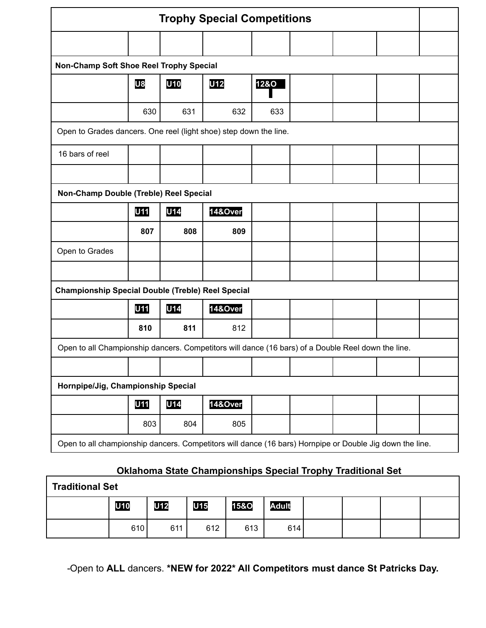|                                                                                                          |                                        |     | <b>Trophy Special Competitions</b> |                 |  |  |  |  |  |  |
|----------------------------------------------------------------------------------------------------------|----------------------------------------|-----|------------------------------------|-----------------|--|--|--|--|--|--|
|                                                                                                          |                                        |     |                                    |                 |  |  |  |  |  |  |
| Non-Champ Soft Shoe Reel Trophy Special                                                                  |                                        |     |                                    |                 |  |  |  |  |  |  |
|                                                                                                          | U8                                     | U10 | U12                                | <b>12&amp;O</b> |  |  |  |  |  |  |
|                                                                                                          | 630                                    | 631 | 632                                | 633             |  |  |  |  |  |  |
| Open to Grades dancers. One reel (light shoe) step down the line.                                        |                                        |     |                                    |                 |  |  |  |  |  |  |
| 16 bars of reel                                                                                          |                                        |     |                                    |                 |  |  |  |  |  |  |
|                                                                                                          |                                        |     |                                    |                 |  |  |  |  |  |  |
|                                                                                                          | Non-Champ Double (Treble) Reel Special |     |                                    |                 |  |  |  |  |  |  |
|                                                                                                          | <b>U11</b>                             | U14 | 14&Over                            |                 |  |  |  |  |  |  |
|                                                                                                          | 807                                    | 808 | 809                                |                 |  |  |  |  |  |  |
| Open to Grades                                                                                           |                                        |     |                                    |                 |  |  |  |  |  |  |
|                                                                                                          |                                        |     |                                    |                 |  |  |  |  |  |  |
| <b>Championship Special Double (Treble) Reel Special</b>                                                 |                                        |     |                                    |                 |  |  |  |  |  |  |
|                                                                                                          | U11                                    | U14 | 14&Over                            |                 |  |  |  |  |  |  |
|                                                                                                          | 810                                    | 811 | 812                                |                 |  |  |  |  |  |  |
| Open to all Championship dancers. Competitors will dance (16 bars) of a Double Reel down the line.       |                                        |     |                                    |                 |  |  |  |  |  |  |
|                                                                                                          |                                        |     |                                    |                 |  |  |  |  |  |  |
| Hornpipe/Jig, Championship Special                                                                       |                                        |     |                                    |                 |  |  |  |  |  |  |
|                                                                                                          | U11                                    | U14 | 14&Over                            |                 |  |  |  |  |  |  |
|                                                                                                          | 803                                    | 804 | 805                                |                 |  |  |  |  |  |  |
| Open to all championship dancers. Competitors will dance (16 bars) Hornpipe or Double Jig down the line. |                                        |     |                                    |                 |  |  |  |  |  |  |

## **Oklahoma State Championships Special Trophy Traditional Set**

| <b>Traditional Set</b><br>U15<br><b>U12</b><br><b>Adult</b><br>U10<br><b>15&amp;O</b> |     |     |     |     |     |  |  |  |
|---------------------------------------------------------------------------------------|-----|-----|-----|-----|-----|--|--|--|
|                                                                                       |     |     |     |     |     |  |  |  |
|                                                                                       | 610 | 611 | 612 | 613 | 614 |  |  |  |

Open to **ALL** dancers. **\*NEW for 2022\* All Competitors must dance St Patricks Day.**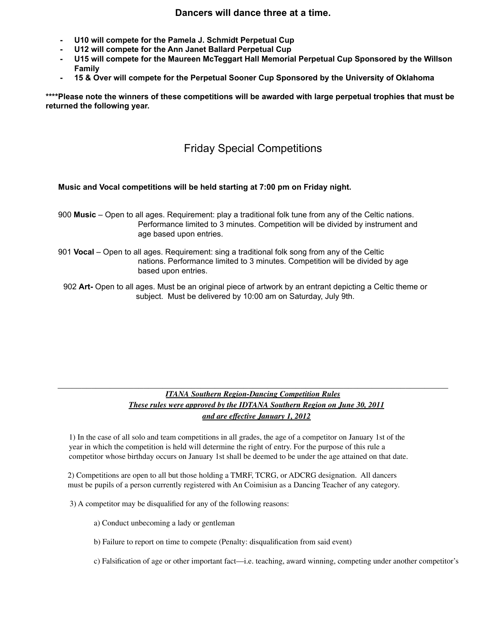#### **Dancers will dance three at a time.**

- **U10 will compete for the Pamela J. Schmidt Perpetual Cup**
- **U12 will compete for the Ann Janet Ballard Perpetual Cup**
- **U15 will compete for the Maureen McTeggart Hall Memorial Perpetual Cup Sponsored by the Willson Family**
- **15 & Over will compete for the Perpetual Sooner Cup Sponsored by the University of Oklahoma**

**\*\*\*\*Please note the winners of these competitions will be awarded with large perpetual trophies that must be returned the following year.**

### Friday Special Competitions

#### **Music and Vocal competitions will be held starting at 7:00 pm on Friday night.**

- 900 **Music** Open to all ages. Requirement: play a traditional folk tune from any of the Celtic nations. Performance limited to 3 minutes. Competition will be divided by instrument and age based upon entries.
- 901 **Vocal** Open to all ages. Requirement: sing a traditional folk song from any of the Celtic nations. Performance limited to 3 minutes. Competition will be divided by age based upon entries.
- 902 **Art-** Open to all ages. Must be an original piece of artwork by an entrant depicting a Celtic theme or subject. Must be delivered by 10:00 am on Saturday, July 9th.

#### *ITANA Southern Region-Dancing Competition Rules These rules were approved by the IDTANA Southern Region on June 30, 2011 and are effective January 1, 2012*

 $\mathcal{L}_\mathcal{L} = \mathcal{L}_\mathcal{L} = \mathcal{L}_\mathcal{L} = \mathcal{L}_\mathcal{L} = \mathcal{L}_\mathcal{L} = \mathcal{L}_\mathcal{L} = \mathcal{L}_\mathcal{L} = \mathcal{L}_\mathcal{L} = \mathcal{L}_\mathcal{L} = \mathcal{L}_\mathcal{L} = \mathcal{L}_\mathcal{L} = \mathcal{L}_\mathcal{L} = \mathcal{L}_\mathcal{L} = \mathcal{L}_\mathcal{L} = \mathcal{L}_\mathcal{L} = \mathcal{L}_\mathcal{L} = \mathcal{L}_\mathcal{L}$ 

1) In the case of all solo and team competitions in all grades, the age of a competitor on January 1st of the year in which the competition is held will determine the right of entry. For the purpose of this rule a competitor whose birthday occurs on January 1st shall be deemed to be under the age attained on that date.

2) Competitions are open to all but those holding a TMRF, TCRG, or ADCRG designation. All dancers must be pupils of a person currently registered with An Coimisiun as a Dancing Teacher of any category.

3) A competitor may be disqualified for any of the following reasons:

- a) Conduct unbecoming a lady or gentleman
- b) Failure to report on time to compete (Penalty: disqualification from said event)
- c) Falsification of age or other important fact—i.e. teaching, award winning, competing under another competitor's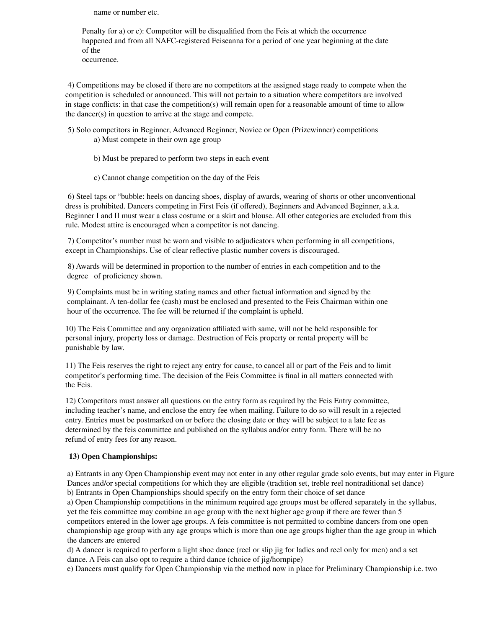name or number etc.

Penalty for a) or c): Competitor will be disqualified from the Feis at which the occurrence happened and from all NAFC-registered Feiseanna for a period of one year beginning at the date of the

occurrence.

4) Competitions may be closed if there are no competitors at the assigned stage ready to compete when the competition is scheduled or announced. This will not pertain to a situation where competitors are involved in stage conflicts: in that case the competition(s) will remain open for a reasonable amount of time to allow the dancer(s) in question to arrive at the stage and compete.

- 5) Solo competitors in Beginner, Advanced Beginner, Novice or Open (Prizewinner) competitions a) Must compete in their own age group
	- b) Must be prepared to perform two steps in each event
	- c) Cannot change competition on the day of the Feis

6) Steel taps or "bubble: heels on dancing shoes, display of awards, wearing of shorts or other unconventional dress is prohibited. Dancers competing in First Feis (if offered), Beginners and Advanced Beginner, a.k.a. Beginner I and II must wear a class costume or a skirt and blouse. All other categories are excluded from this rule. Modest attire is encouraged when a competitor is not dancing.

7) Competitor's number must be worn and visible to adjudicators when performing in all competitions, except in Championships. Use of clear reflective plastic number covers is discouraged.

8) Awards will be determined in proportion to the number of entries in each competition and to the degree of proficiency shown.

9) Complaints must be in writing stating names and other factual information and signed by the complainant. A ten-dollar fee (cash) must be enclosed and presented to the Feis Chairman within one hour of the occurrence. The fee will be returned if the complaint is upheld.

10) The Feis Committee and any organization affiliated with same, will not be held responsible for personal injury, property loss or damage. Destruction of Feis property or rental property will be punishable by law.

11) The Feis reserves the right to reject any entry for cause, to cancel all or part of the Feis and to limit competitor's performing time. The decision of the Feis Committee is final in all matters connected with the Feis.

12) Competitors must answer all questions on the entry form as required by the Feis Entry committee, including teacher's name, and enclose the entry fee when mailing. Failure to do so will result in a rejected entry. Entries must be postmarked on or before the closing date or they will be subject to a late fee as determined by the feis committee and published on the syllabus and/or entry form. There will be no refund of entry fees for any reason.

#### **13) Open Championships:**

a) Entrants in any Open Championship event may not enter in any other regular grade solo events, but may enter in Figure Dances and/or special competitions for which they are eligible (tradition set, treble reel nontraditional set dance) b) Entrants in Open Championships should specify on the entry form their choice of set dance a) Open Championship competitions in the minimum required age groups must be offered separately in the syllabus,

yet the feis committee may combine an age group with the next higher age group if there are fewer than 5 competitors entered in the lower age groups. A feis committee is not permitted to combine dancers from one open championship age group with any age groups which is more than one age groups higher than the age group in which the dancers are entered

d) A dancer is required to perform a light shoe dance (reel or slip jig for ladies and reel only for men) and a set dance. A Feis can also opt to require a third dance (choice of jig/hornpipe)

e) Dancers must qualify for Open Championship via the method now in place for Preliminary Championship i.e. two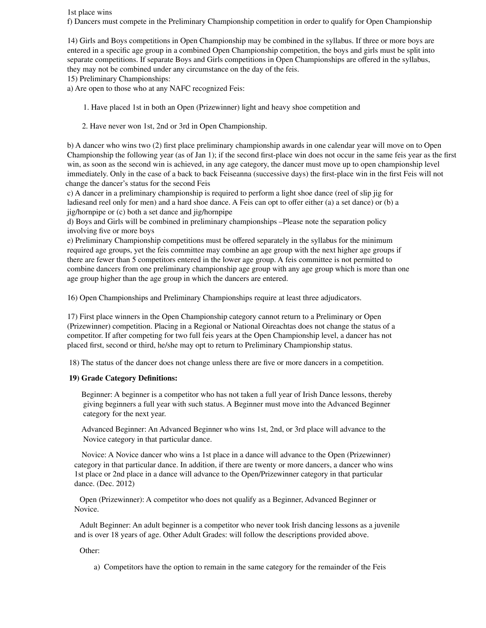1st place wins

f) Dancers must compete in the Preliminary Championship competition in order to qualify for Open Championship

14) Girls and Boys competitions in Open Championship may be combined in the syllabus. If three or more boys are entered in a specific age group in a combined Open Championship competition, the boys and girls must be split into separate competitions. If separate Boys and Girls competitions in Open Championships are offered in the syllabus, they may not be combined under any circumstance on the day of the feis.

15) Preliminary Championships:

a) Are open to those who at any NAFC recognized Feis:

1. Have placed 1st in both an Open (Prizewinner) light and heavy shoe competition and

2. Have never won 1st, 2nd or 3rd in Open Championship.

b) A dancer who wins two (2) first place preliminary championship awards in one calendar year will move on to Open Championship the following year (as of Jan 1); if the second first-place win does not occur in the same feis year as the first win, as soon as the second win is achieved, in any age category, the dancer must move up to open championship level immediately. Only in the case of a back to back Feiseanna (successive days) the first-place win in the first Feis will not change the dancer's status for the second Feis

c) A dancer in a preliminary championship is required to perform a light shoe dance (reel of slip jig for ladiesand reel only for men) and a hard shoe dance. A Feis can opt to offer either (a) a set dance) or (b) a jig/hornpipe or (c) both a set dance and jig/hornpipe

d) Boys and Girls will be combined in preliminary championships –Please note the separation policy involving five or more boys

e) Preliminary Championship competitions must be offered separately in the syllabus for the minimum required age groups, yet the feis committee may combine an age group with the next higher age groups if there are fewer than 5 competitors entered in the lower age group. A feis committee is not permitted to combine dancers from one preliminary championship age group with any age group which is more than one age group higher than the age group in which the dancers are entered.

16) Open Championships and Preliminary Championships require at least three adjudicators.

17) First place winners in the Open Championship category cannot return to a Preliminary or Open (Prizewinner) competition. Placing in a Regional or National Oireachtas does not change the status of a competitor. If after competing for two full feis years at the Open Championship level, a dancer has not placed first, second or third, he/she may opt to return to Preliminary Championship status.

18) The status of the dancer does not change unless there are five or more dancers in a competition.

#### **19) Grade Category Definitions:**

Beginner: A beginner is a competitor who has not taken a full year of Irish Dance lessons, thereby giving beginners a full year with such status. A Beginner must move into the Advanced Beginner category for the next year.

Advanced Beginner: An Advanced Beginner who wins 1st, 2nd, or 3rd place will advance to the Novice category in that particular dance.

Novice: A Novice dancer who wins a 1st place in a dance will advance to the Open (Prizewinner) category in that particular dance. In addition, if there are twenty or more dancers, a dancer who wins 1st place or 2nd place in a dance will advance to the Open/Prizewinner category in that particular dance. (Dec. 2012)

Open (Prizewinner): A competitor who does not qualify as a Beginner, Advanced Beginner or Novice.

Adult Beginner: An adult beginner is a competitor who never took Irish dancing lessons as a juvenile and is over 18 years of age. Other Adult Grades: will follow the descriptions provided above.

Other:

a) Competitors have the option to remain in the same category for the remainder of the Feis